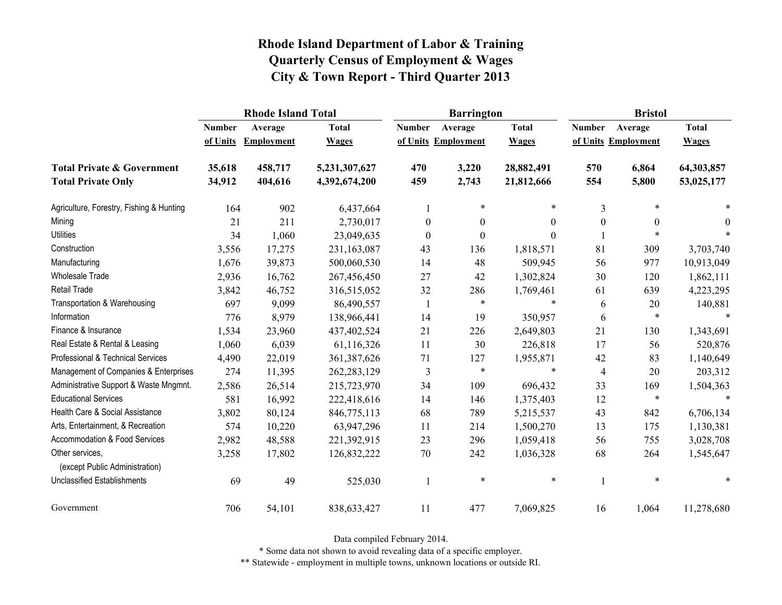|                                                   |               | <b>Rhode Island Total</b> |               |                  | <b>Barrington</b>   |              | <b>Bristol</b>   |                     |              |  |
|---------------------------------------------------|---------------|---------------------------|---------------|------------------|---------------------|--------------|------------------|---------------------|--------------|--|
|                                                   | <b>Number</b> | Average                   | <b>Total</b>  | <b>Number</b>    | Average             | <b>Total</b> | <b>Number</b>    | Average             | <b>Total</b> |  |
|                                                   | of Units      | <b>Employment</b>         | <b>Wages</b>  |                  | of Units Employment | <b>Wages</b> |                  | of Units Employment | <b>Wages</b> |  |
| <b>Total Private &amp; Government</b>             | 35,618        | 458,717                   | 5,231,307,627 | 470              | 3,220               | 28,882,491   | 570              | 6,864               | 64,303,857   |  |
| <b>Total Private Only</b>                         | 34,912        | 404,616                   | 4,392,674,200 | 459              | 2,743               | 21,812,666   | 554              | 5,800               | 53,025,177   |  |
| Agriculture, Forestry, Fishing & Hunting          | 164           | 902                       | 6,437,664     |                  | *                   | *            | 3                | $\ast$              |              |  |
| Mining                                            | 21            | 211                       | 2,730,017     | $\boldsymbol{0}$ | $\overline{0}$      | 0            | $\boldsymbol{0}$ | $\theta$            | $\theta$     |  |
| <b>Utilities</b>                                  | 34            | 1,060                     | 23,049,635    | $\theta$         | $\boldsymbol{0}$    | $\Omega$     |                  | *                   |              |  |
| Construction                                      | 3,556         | 17,275                    | 231,163,087   | 43               | 136                 | 1,818,571    | 81               | 309                 | 3,703,740    |  |
| Manufacturing                                     | 1,676         | 39,873                    | 500,060,530   | 14               | 48                  | 509,945      | 56               | 977                 | 10,913,049   |  |
| <b>Wholesale Trade</b>                            | 2,936         | 16,762                    | 267,456,450   | 27               | 42                  | 1,302,824    | 30               | 120                 | 1,862,111    |  |
| <b>Retail Trade</b>                               | 3,842         | 46,752                    | 316,515,052   | 32               | 286                 | 1,769,461    | 61               | 639                 | 4,223,295    |  |
| Transportation & Warehousing                      | 697           | 9,099                     | 86,490,557    | 1                | $\ast$              | $\ast$       | 6                | 20                  | 140,881      |  |
| Information                                       | 776           | 8,979                     | 138,966,441   | 14               | 19                  | 350,957      | 6                | $\ast$              | $\ast$       |  |
| Finance & Insurance                               | 1,534         | 23,960                    | 437,402,524   | 21               | 226                 | 2,649,803    | 21               | 130                 | 1,343,691    |  |
| Real Estate & Rental & Leasing                    | 1,060         | 6,039                     | 61,116,326    | 11               | 30                  | 226,818      | 17               | 56                  | 520,876      |  |
| Professional & Technical Services                 | 4,490         | 22,019                    | 361, 387, 626 | 71               | 127                 | 1,955,871    | 42               | 83                  | 1,140,649    |  |
| Management of Companies & Enterprises             | 274           | 11,395                    | 262, 283, 129 | 3                | $\ast$              | $\ast$       | $\overline{4}$   | 20                  | 203,312      |  |
| Administrative Support & Waste Mngmnt.            | 2,586         | 26,514                    | 215,723,970   | 34               | 109                 | 696,432      | 33               | 169                 | 1,504,363    |  |
| <b>Educational Services</b>                       | 581           | 16,992                    | 222,418,616   | 14               | 146                 | 1,375,403    | 12               | $\ast$              | $\ast$       |  |
| Health Care & Social Assistance                   | 3,802         | 80,124                    | 846,775,113   | 68               | 789                 | 5,215,537    | 43               | 842                 | 6,706,134    |  |
| Arts, Entertainment, & Recreation                 | 574           | 10,220                    | 63,947,296    | 11               | 214                 | 1,500,270    | 13               | 175                 | 1,130,381    |  |
| Accommodation & Food Services                     | 2,982         | 48,588                    | 221,392,915   | 23               | 296                 | 1,059,418    | 56               | 755                 | 3,028,708    |  |
| Other services,<br>(except Public Administration) | 3,258         | 17,802                    | 126,832,222   | 70               | 242                 | 1,036,328    | 68               | 264                 | 1,545,647    |  |
| <b>Unclassified Establishments</b>                | 69            | 49                        | 525,030       |                  | $\ast$              | $\ast$       |                  | $\ast$              | $\ast$       |  |
| Government                                        | 706           | 54,101                    | 838, 633, 427 | 11               | 477                 | 7,069,825    | 16               | 1,064               | 11,278,680   |  |

Data compiled February 2014.

\* Some data not shown to avoid revealing data of a specific employer.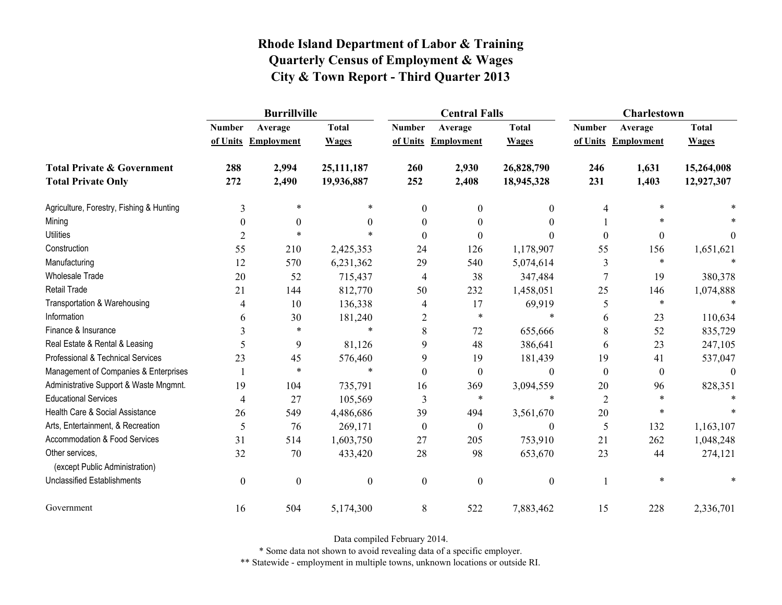|                                                   | <b>Burrillville</b> |                     |                  |                  | <b>Central Falls</b> |                  | Charlestown    |                     |              |
|---------------------------------------------------|---------------------|---------------------|------------------|------------------|----------------------|------------------|----------------|---------------------|--------------|
|                                                   | <b>Number</b>       | Average             | <b>Total</b>     | <b>Number</b>    | Average              | <b>Total</b>     | <b>Number</b>  | Average             | <b>Total</b> |
|                                                   |                     | of Units Employment | <b>Wages</b>     |                  | of Units Employment  | <b>Wages</b>     |                | of Units Employment | <b>Wages</b> |
| <b>Total Private &amp; Government</b>             | 288                 | 2,994               | 25,111,187       | 260              | 2,930                | 26,828,790       | 246            | 1,631               | 15,264,008   |
| <b>Total Private Only</b>                         | 272                 | 2,490               | 19,936,887       | 252              | 2,408                | 18,945,328       | 231            | 1,403               | 12,927,307   |
| Agriculture, Forestry, Fishing & Hunting          | 3                   | $\ast$              | $\ast$           | $\Omega$         | 0                    | 0                | 4              | *                   |              |
| Mining                                            | $\theta$            | $\Omega$            | $\theta$         | 0                |                      | 0                |                |                     |              |
| <b>Utilities</b>                                  | $\overline{2}$      | $\ast$              | $\ast$           | 0                | 0                    | 0                | $\theta$       | 0                   | 0            |
| Construction                                      | 55                  | 210                 | 2,425,353        | 24               | 126                  | 1,178,907        | 55             | 156                 | 1,651,621    |
| Manufacturing                                     | 12                  | 570                 | 6,231,362        | 29               | 540                  | 5,074,614        | 3              | $\ast$              |              |
| Wholesale Trade                                   | 20                  | 52                  | 715,437          | 4                | 38                   | 347,484          | $\overline{7}$ | 19                  | 380,378      |
| <b>Retail Trade</b>                               | 21                  | 144                 | 812,770          | 50               | 232                  | 1,458,051        | 25             | 146                 | 1,074,888    |
| Transportation & Warehousing                      | 4                   | 10                  | 136,338          | 4                | 17                   | 69,919           | 5              | $\ast$              |              |
| Information                                       | 6                   | 30                  | 181,240          | $\overline{2}$   | $\ast$               | $\ast$           | 6              | 23                  | 110,634      |
| Finance & Insurance                               | 3                   | $\ast$              | $\ast$           | 8                | 72                   | 655,666          | 8              | 52                  | 835,729      |
| Real Estate & Rental & Leasing                    | 5                   | 9                   | 81,126           | 9                | 48                   | 386,641          | 6              | 23                  | 247,105      |
| Professional & Technical Services                 | 23                  | 45                  | 576,460          | 9                | 19                   | 181,439          | 19             | 41                  | 537,047      |
| Management of Companies & Enterprises             |                     | $\ast$              | $\ast$           | 0                | $\Omega$             | $\theta$         | $\mathbf{0}$   | $\mathbf{0}$        | $\Omega$     |
| Administrative Support & Waste Mngmnt.            | 19                  | 104                 | 735,791          | 16               | 369                  | 3,094,559        | 20             | 96                  | 828,351      |
| <b>Educational Services</b>                       | 4                   | 27                  | 105,569          | 3                | $\ast$               | $\ast$           | $\overline{2}$ | *                   |              |
| Health Care & Social Assistance                   | 26                  | 549                 | 4,486,686        | 39               | 494                  | 3,561,670        | 20             | $\ast$              |              |
| Arts, Entertainment, & Recreation                 | 5                   | 76                  | 269,171          | $\boldsymbol{0}$ | $\mathbf{0}$         | $\boldsymbol{0}$ | 5              | 132                 | 1,163,107    |
| Accommodation & Food Services                     | 31                  | 514                 | 1,603,750        | 27               | 205                  | 753,910          | 21             | 262                 | 1,048,248    |
| Other services,<br>(except Public Administration) | 32                  | 70                  | 433,420          | 28               | 98                   | 653,670          | 23             | 44                  | 274,121      |
| <b>Unclassified Establishments</b>                | $\boldsymbol{0}$    | $\boldsymbol{0}$    | $\boldsymbol{0}$ | $\mathbf{0}$     | $\boldsymbol{0}$     | $\boldsymbol{0}$ |                | $\ast$              |              |
| Government                                        | 16                  | 504                 | 5,174,300        | 8                | 522                  | 7,883,462        | 15             | 228                 | 2,336,701    |

Data compiled February 2014.

\* Some data not shown to avoid revealing data of a specific employer.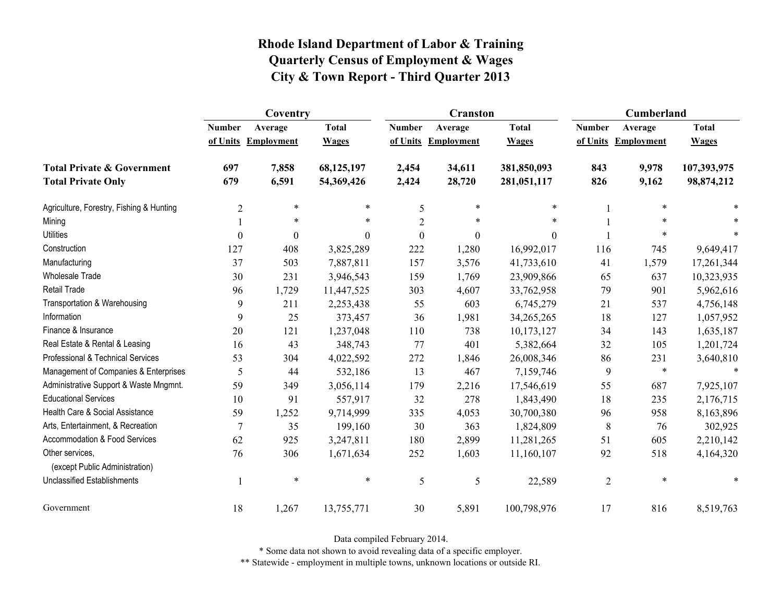|                                                   | Coventry         |                     |              |                  | <b>Cranston</b>     |              | Cumberland     |                     |              |
|---------------------------------------------------|------------------|---------------------|--------------|------------------|---------------------|--------------|----------------|---------------------|--------------|
|                                                   | <b>Number</b>    | Average             | <b>Total</b> | <b>Number</b>    | Average             | <b>Total</b> | <b>Number</b>  | Average             | <b>Total</b> |
|                                                   |                  | of Units Employment | <b>Wages</b> |                  | of Units Employment | <b>Wages</b> |                | of Units Employment | <b>Wages</b> |
| <b>Total Private &amp; Government</b>             | 697              | 7,858               | 68,125,197   | 2,454            | 34,611              | 381,850,093  | 843            | 9,978               | 107,393,975  |
| <b>Total Private Only</b>                         | 679              | 6,591               | 54,369,426   | 2,424            | 28,720              | 281,051,117  | 826            | 9,162               | 98,874,212   |
| Agriculture, Forestry, Fishing & Hunting          | $\overline{2}$   | $\ast$              | $\ast$       | 5                | $\ast$              | $\ast$       |                | *                   |              |
| Mining                                            |                  | $\ast$              | $\ast$       | $\overline{2}$   | $\ast$              | $\ast$       |                | *                   |              |
| <b>Utilities</b>                                  | $\boldsymbol{0}$ | $\boldsymbol{0}$    | $\theta$     | $\boldsymbol{0}$ | $\boldsymbol{0}$    | $\theta$     |                | *                   |              |
| Construction                                      | 127              | 408                 | 3,825,289    | 222              | 1,280               | 16,992,017   | 116            | 745                 | 9,649,417    |
| Manufacturing                                     | 37               | 503                 | 7,887,811    | 157              | 3,576               | 41,733,610   | 41             | 1,579               | 17,261,344   |
| Wholesale Trade                                   | 30               | 231                 | 3,946,543    | 159              | 1,769               | 23,909,866   | 65             | 637                 | 10,323,935   |
| <b>Retail Trade</b>                               | 96               | 1,729               | 11,447,525   | 303              | 4,607               | 33,762,958   | 79             | 901                 | 5,962,616    |
| Transportation & Warehousing                      | 9                | 211                 | 2,253,438    | 55               | 603                 | 6,745,279    | 21             | 537                 | 4,756,148    |
| Information                                       | 9                | 25                  | 373,457      | 36               | 1,981               | 34,265,265   | 18             | 127                 | 1,057,952    |
| Finance & Insurance                               | 20               | 121                 | 1,237,048    | 110              | 738                 | 10,173,127   | 34             | 143                 | 1,635,187    |
| Real Estate & Rental & Leasing                    | 16               | 43                  | 348,743      | 77               | 401                 | 5,382,664    | 32             | 105                 | 1,201,724    |
| Professional & Technical Services                 | 53               | 304                 | 4,022,592    | 272              | 1,846               | 26,008,346   | 86             | 231                 | 3,640,810    |
| Management of Companies & Enterprises             | 5                | 44                  | 532,186      | 13               | 467                 | 7,159,746    | 9              | $\ast$              | $\ast$       |
| Administrative Support & Waste Mngmnt.            | 59               | 349                 | 3,056,114    | 179              | 2,216               | 17,546,619   | 55             | 687                 | 7,925,107    |
| <b>Educational Services</b>                       | 10               | 91                  | 557,917      | 32               | 278                 | 1,843,490    | 18             | 235                 | 2,176,715    |
| Health Care & Social Assistance                   | 59               | 1,252               | 9,714,999    | 335              | 4,053               | 30,700,380   | 96             | 958                 | 8,163,896    |
| Arts, Entertainment, & Recreation                 | $\overline{7}$   | 35                  | 199,160      | 30               | 363                 | 1,824,809    | 8              | 76                  | 302,925      |
| <b>Accommodation &amp; Food Services</b>          | 62               | 925                 | 3,247,811    | 180              | 2,899               | 11,281,265   | 51             | 605                 | 2,210,142    |
| Other services,<br>(except Public Administration) | 76               | 306                 | 1,671,634    | 252              | 1,603               | 11,160,107   | 92             | 518                 | 4,164,320    |
| <b>Unclassified Establishments</b>                |                  | $\ast$              | $\ast$       | 5                | $\sqrt{5}$          | 22,589       | $\overline{2}$ | $\ast$              | *            |
| Government                                        | 18               | 1,267               | 13,755,771   | 30               | 5,891               | 100,798,976  | 17             | 816                 | 8,519,763    |

Data compiled February 2014.

\* Some data not shown to avoid revealing data of a specific employer.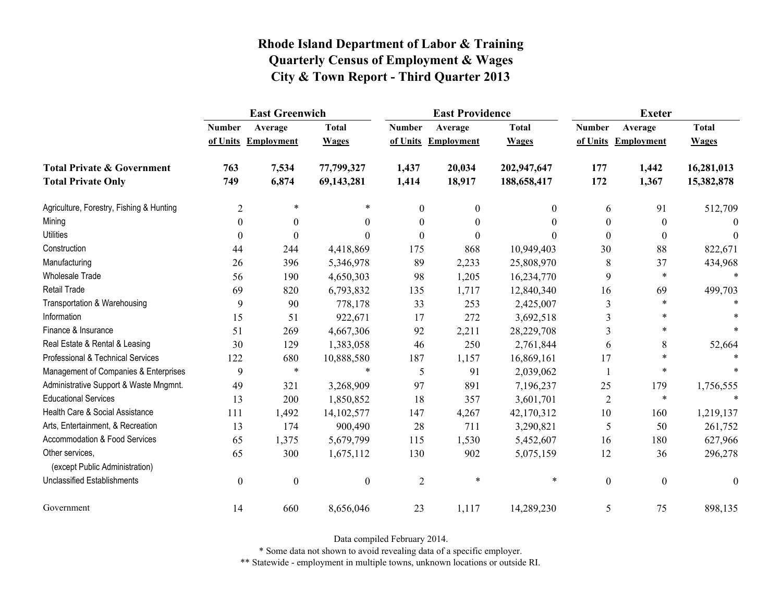|                                                   | <b>East Greenwich</b> |                     |                  |                  | <b>East Providence</b> |              | <b>Exeter</b>    |                     |                  |
|---------------------------------------------------|-----------------------|---------------------|------------------|------------------|------------------------|--------------|------------------|---------------------|------------------|
|                                                   | <b>Number</b>         | Average             | <b>Total</b>     | <b>Number</b>    | Average                | <b>Total</b> | <b>Number</b>    | Average             | <b>Total</b>     |
|                                                   |                       | of Units Employment | <b>Wages</b>     |                  | of Units Employment    | <b>Wages</b> |                  | of Units Employment | <b>Wages</b>     |
| <b>Total Private &amp; Government</b>             | 763                   | 7,534               | 77,799,327       | 1,437            | 20,034                 | 202,947,647  | 177              | 1,442               | 16,281,013       |
| <b>Total Private Only</b>                         | 749                   | 6,874               | 69,143,281       | 1,414            | 18,917                 | 188,658,417  | 172              | 1,367               | 15,382,878       |
| Agriculture, Forestry, Fishing & Hunting          | $\overline{2}$        | $\ast$              | $\ast$           | $\boldsymbol{0}$ | $\theta$               | $\mathbf{0}$ | 6                | 91                  | 512,709          |
| Mining                                            | $\theta$              | $\boldsymbol{0}$    | 0                | $\boldsymbol{0}$ | $\theta$               | $\theta$     | $\theta$         | $\boldsymbol{0}$    | 0                |
| <b>Utilities</b>                                  | $\Omega$              | $\theta$            | 0                | $\theta$         | $\theta$               | 0            | $\theta$         | $\mathbf{0}$        | $\Omega$         |
| Construction                                      | 44                    | 244                 | 4,418,869        | 175              | 868                    | 10,949,403   | 30               | 88                  | 822,671          |
| Manufacturing                                     | 26                    | 396                 | 5,346,978        | 89               | 2,233                  | 25,808,970   | 8                | 37                  | 434,968          |
| <b>Wholesale Trade</b>                            | 56                    | 190                 | 4,650,303        | 98               | 1,205                  | 16,234,770   | 9                | $\ast$              | $\ast$           |
| <b>Retail Trade</b>                               | 69                    | 820                 | 6,793,832        | 135              | 1,717                  | 12,840,340   | 16               | 69                  | 499,703          |
| Transportation & Warehousing                      | 9                     | 90                  | 778,178          | 33               | 253                    | 2,425,007    | $\mathfrak{Z}$   | $\ast$              |                  |
| Information                                       | 15                    | 51                  | 922,671          | 17               | 272                    | 3,692,518    | 3                | $\ast$              |                  |
| Finance & Insurance                               | 51                    | 269                 | 4,667,306        | 92               | 2,211                  | 28,229,708   | 3                | $\ast$              |                  |
| Real Estate & Rental & Leasing                    | 30                    | 129                 | 1,383,058        | 46               | 250                    | 2,761,844    | 6                | 8                   | 52,664           |
| Professional & Technical Services                 | 122                   | 680                 | 10,888,580       | 187              | 1,157                  | 16,869,161   | 17               | $\ast$              |                  |
| Management of Companies & Enterprises             | 9                     | $\ast$              | $\ast$           | 5                | 91                     | 2,039,062    | -1               | $\ast$              |                  |
| Administrative Support & Waste Mngmnt.            | 49                    | 321                 | 3,268,909        | 97               | 891                    | 7,196,237    | 25               | 179                 | 1,756,555        |
| <b>Educational Services</b>                       | 13                    | 200                 | 1,850,852        | 18               | 357                    | 3,601,701    | $\overline{2}$   | $\ast$              |                  |
| Health Care & Social Assistance                   | 111                   | 1,492               | 14, 102, 577     | 147              | 4,267                  | 42,170,312   | 10               | 160                 | 1,219,137        |
| Arts, Entertainment, & Recreation                 | 13                    | 174                 | 900,490          | 28               | 711                    | 3,290,821    | 5                | 50                  | 261,752          |
| <b>Accommodation &amp; Food Services</b>          | 65                    | 1,375               | 5,679,799        | 115              | 1,530                  | 5,452,607    | 16               | 180                 | 627,966          |
| Other services,<br>(except Public Administration) | 65                    | 300                 | 1,675,112        | 130              | 902                    | 5,075,159    | 12               | 36                  | 296,278          |
| <b>Unclassified Establishments</b>                | $\boldsymbol{0}$      | $\boldsymbol{0}$    | $\boldsymbol{0}$ | $\overline{2}$   | $\ast$                 | $\ast$       | $\boldsymbol{0}$ | $\boldsymbol{0}$    | $\boldsymbol{0}$ |
| Government                                        | 14                    | 660                 | 8,656,046        | 23               | 1,117                  | 14,289,230   | 5                | 75                  | 898,135          |

Data compiled February 2014.

\* Some data not shown to avoid revealing data of a specific employer.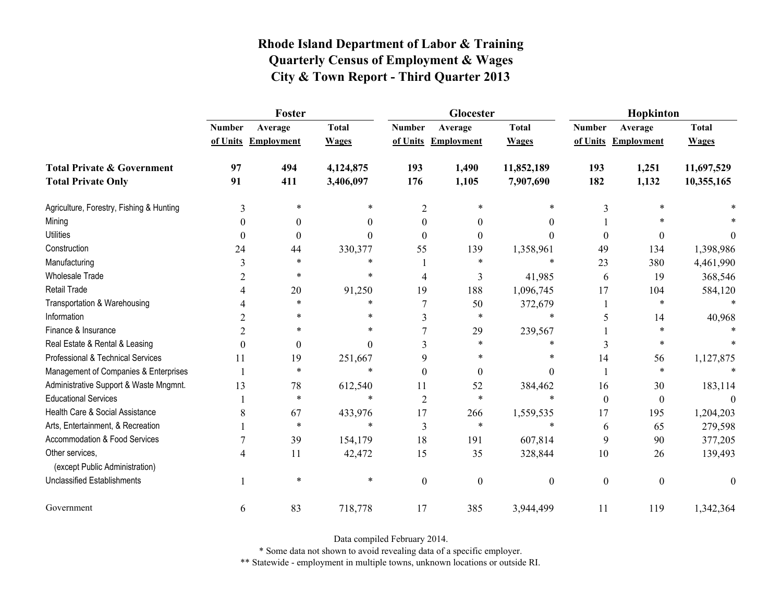|                                                   | Foster        |                     |              |                | Glocester           |                  | Hopkinton        |                     |              |
|---------------------------------------------------|---------------|---------------------|--------------|----------------|---------------------|------------------|------------------|---------------------|--------------|
|                                                   | <b>Number</b> | Average             | <b>Total</b> | <b>Number</b>  | Average             | <b>Total</b>     | <b>Number</b>    | Average             | <b>Total</b> |
|                                                   |               | of Units Employment | <b>Wages</b> |                | of Units Employment | <b>Wages</b>     |                  | of Units Employment | <b>Wages</b> |
| <b>Total Private &amp; Government</b>             | 97            | 494                 | 4,124,875    | 193            | 1,490               | 11,852,189       | 193              | 1,251               | 11,697,529   |
| <b>Total Private Only</b>                         | 91            | 411                 | 3,406,097    | 176            | 1,105               | 7,907,690        | 182              | 1,132               | 10,355,165   |
| Agriculture, Forestry, Fishing & Hunting          | 3             | *                   |              | $\overline{2}$ |                     |                  | 3                |                     |              |
| Mining                                            |               | 0                   | 0            | 0              | $\theta$            | 0                |                  |                     |              |
| <b>Utilities</b>                                  | $\Omega$      | $\theta$            | 0            | $\Omega$       | $\Omega$            | 0                | $\boldsymbol{0}$ | $\theta$            | $^{(1)}$     |
| Construction                                      | 24            | 44                  | 330,377      | 55             | 139                 | 1,358,961        | 49               | 134                 | 1,398,986    |
| Manufacturing                                     | 3             | $\ast$              | $\ast$       |                | $\ast$              | $\ast$           | 23               | 380                 | 4,461,990    |
| <b>Wholesale Trade</b>                            | 2             | *                   | *            | 4              | 3                   | 41,985           | 6                | 19                  | 368,546      |
| Retail Trade                                      |               | 20                  | 91,250       | 19             | 188                 | 1,096,745        | 17               | 104                 | 584,120      |
| Transportation & Warehousing                      |               | $\ast$              | $\ast$       |                | 50                  | 372,679          |                  | $\ast$              |              |
| Information                                       | 2             | *                   | $\ast$       | 3              | $\ast$              | $\ast$           | 5                | 14                  | 40,968       |
| Finance & Insurance                               | 2             | $\ast$              | $\ast$       |                | 29                  | 239,567          |                  | $\ast$              |              |
| Real Estate & Rental & Leasing                    | $\Omega$      | $\theta$            | $\Omega$     | 3              | *                   | $\ast$           | 3                | $\ast$              |              |
| Professional & Technical Services                 | 11            | 19                  | 251,667      | 9              | $\ast$              | *                | 14               | 56                  | 1,127,875    |
| Management of Companies & Enterprises             |               | $\ast$              | $\ast$       | $\Omega$       | $\theta$            | $\theta$         |                  | $\ast$              |              |
| Administrative Support & Waste Mngmnt.            | 13            | 78                  | 612,540      | 11             | 52                  | 384,462          | 16               | 30                  | 183,114      |
| <b>Educational Services</b>                       |               | $\ast$              | $\ast$       | 2              | $\ast$              | $\ast$           | $\boldsymbol{0}$ | $\boldsymbol{0}$    |              |
| Health Care & Social Assistance                   | 8             | 67                  | 433,976      | 17             | 266                 | 1,559,535        | 17               | 195                 | 1,204,203    |
| Arts, Entertainment, & Recreation                 |               | $\ast$              | $\ast$       | 3              | $\ast$              | $\ast$           | 6                | 65                  | 279,598      |
| Accommodation & Food Services                     |               | 39                  | 154,179      | 18             | 191                 | 607,814          | 9                | 90                  | 377,205      |
| Other services,<br>(except Public Administration) | 4             | 11                  | 42,472       | 15             | 35                  | 328,844          | 10               | 26                  | 139,493      |
| <b>Unclassified Establishments</b>                |               | $\ast$              | *            | $\overline{0}$ | $\boldsymbol{0}$    | $\boldsymbol{0}$ | $\boldsymbol{0}$ | $\boldsymbol{0}$    | $\theta$     |
| Government                                        | 6             | 83                  | 718,778      | 17             | 385                 | 3,944,499        | 11               | 119                 | 1,342,364    |

Data compiled February 2014.

\* Some data not shown to avoid revealing data of a specific employer.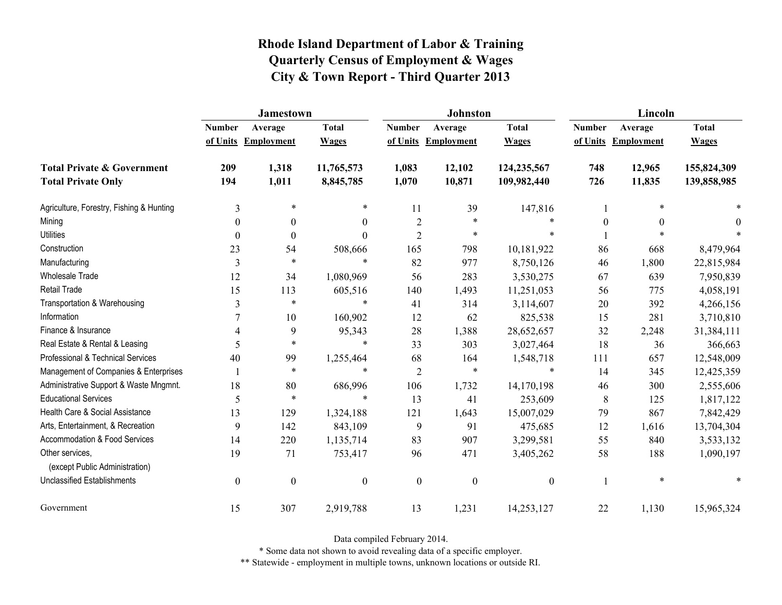|                                                   | <b>Jamestown</b> |                     |                  |                  | Johnston          |                  | Lincoln          |                   |              |
|---------------------------------------------------|------------------|---------------------|------------------|------------------|-------------------|------------------|------------------|-------------------|--------------|
|                                                   | <b>Number</b>    | Average             | <b>Total</b>     | <b>Number</b>    | Average           | <b>Total</b>     | <b>Number</b>    | Average           | <b>Total</b> |
|                                                   |                  | of Units Employment | <b>Wages</b>     | of Units         | <b>Employment</b> | <b>Wages</b>     | of Units         | <b>Employment</b> | <b>Wages</b> |
| <b>Total Private &amp; Government</b>             | 209              | 1,318               | 11,765,573       | 1,083            | 12,102            | 124,235,567      | 748              | 12,965            | 155,824,309  |
| <b>Total Private Only</b>                         | 194              | 1,011               | 8,845,785        | 1,070            | 10,871            | 109,982,440      | 726              | 11,835            | 139,858,985  |
| Agriculture, Forestry, Fishing & Hunting          | 3                | $\ast$              | $\ast$           | 11               | 39                | 147,816          |                  | $\ast$            |              |
| Mining                                            | $\theta$         | $\boldsymbol{0}$    | $\boldsymbol{0}$ | $\overline{2}$   | $\ast$            | $\ast$           | $\boldsymbol{0}$ | $\mathbf{0}$      | 0            |
| <b>Utilities</b>                                  | 0                | $\theta$            | $\theta$         | $\overline{2}$   | $\ast$            | $\ast$           |                  |                   |              |
| Construction                                      | 23               | 54                  | 508,666          | 165              | 798               | 10,181,922       | 86               | 668               | 8,479,964    |
| Manufacturing                                     | 3                | $\ast$              | $\ast$           | 82               | 977               | 8,750,126        | 46               | 1,800             | 22,815,984   |
| <b>Wholesale Trade</b>                            | 12               | 34                  | 1,080,969        | 56               | 283               | 3,530,275        | 67               | 639               | 7,950,839    |
| Retail Trade                                      | 15               | 113                 | 605,516          | 140              | 1,493             | 11,251,053       | 56               | 775               | 4,058,191    |
| Transportation & Warehousing                      | 3                | $\ast$              | $\ast$           | 41               | 314               | 3,114,607        | 20               | 392               | 4,266,156    |
| Information                                       | 7                | 10                  | 160,902          | 12               | 62                | 825,538          | 15               | 281               | 3,710,810    |
| Finance & Insurance                               | 4                | 9                   | 95,343           | 28               | 1,388             | 28,652,657       | 32               | 2,248             | 31,384,111   |
| Real Estate & Rental & Leasing                    | 5                | $\ast$              | $\ast$           | 33               | 303               | 3,027,464        | 18               | 36                | 366,663      |
| Professional & Technical Services                 | 40               | 99                  | 1,255,464        | 68               | 164               | 1,548,718        | 111              | 657               | 12,548,009   |
| Management of Companies & Enterprises             |                  | $\ast$              | $\ast$           | $\overline{2}$   | $\ast$            | $\ast$           | 14               | 345               | 12,425,359   |
| Administrative Support & Waste Mngmnt.            | 18               | 80                  | 686,996          | 106              | 1,732             | 14,170,198       | 46               | 300               | 2,555,606    |
| <b>Educational Services</b>                       | 5                | $\ast$              | *                | 13               | 41                | 253,609          | 8                | 125               | 1,817,122    |
| Health Care & Social Assistance                   | 13               | 129                 | 1,324,188        | 121              | 1,643             | 15,007,029       | 79               | 867               | 7,842,429    |
| Arts, Entertainment, & Recreation                 | 9                | 142                 | 843,109          | 9                | 91                | 475,685          | 12               | 1,616             | 13,704,304   |
| <b>Accommodation &amp; Food Services</b>          | 14               | 220                 | 1,135,714        | 83               | 907               | 3,299,581        | 55               | 840               | 3,533,132    |
| Other services,<br>(except Public Administration) | 19               | 71                  | 753,417          | 96               | 471               | 3,405,262        | 58               | 188               | 1,090,197    |
| <b>Unclassified Establishments</b>                | $\boldsymbol{0}$ | $\boldsymbol{0}$    | $\boldsymbol{0}$ | $\boldsymbol{0}$ | $\boldsymbol{0}$  | $\boldsymbol{0}$ |                  | $\ast$            |              |
| Government                                        | 15               | 307                 | 2,919,788        | 13               | 1,231             | 14,253,127       | 22               | 1,130             | 15,965,324   |

Data compiled February 2014.

\* Some data not shown to avoid revealing data of a specific employer.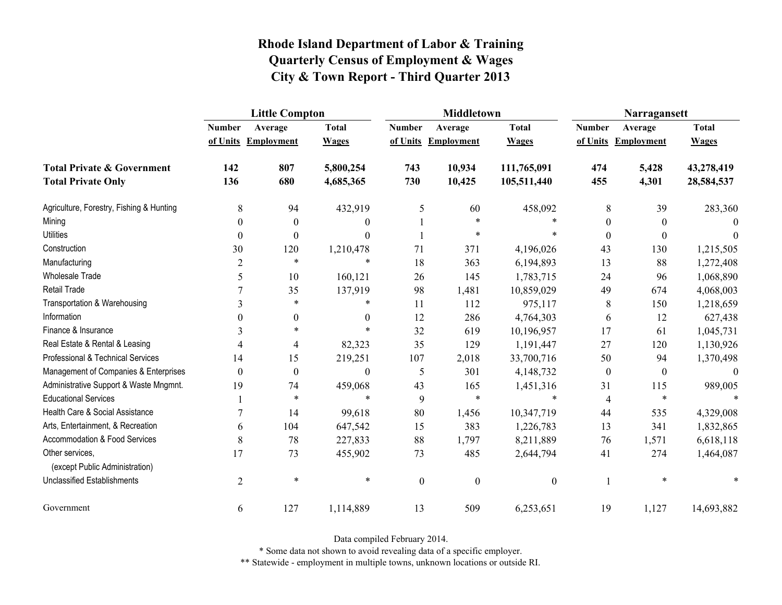|                                                   | <b>Little Compton</b> |                     |              |                  | <b>Middletown</b>   |                  | Narragansett     |                   |              |
|---------------------------------------------------|-----------------------|---------------------|--------------|------------------|---------------------|------------------|------------------|-------------------|--------------|
|                                                   | <b>Number</b>         | Average             | <b>Total</b> | <b>Number</b>    | Average             | <b>Total</b>     | <b>Number</b>    | Average           | <b>Total</b> |
|                                                   |                       | of Units Employment | <b>Wages</b> |                  | of Units Employment | <b>Wages</b>     | of Units         | <b>Employment</b> | <b>Wages</b> |
| <b>Total Private &amp; Government</b>             | 142                   | 807                 | 5,800,254    | 743              | 10,934              | 111,765,091      | 474              | 5,428             | 43,278,419   |
| <b>Total Private Only</b>                         | 136                   | 680                 | 4,685,365    | 730              | 10,425              | 105,511,440      | 455              | 4,301             | 28,584,537   |
| Agriculture, Forestry, Fishing & Hunting          | 8                     | 94                  | 432,919      | 5                | 60                  | 458,092          | 8                | 39                | 283,360      |
| Mining                                            | $\theta$              | $\boldsymbol{0}$    | 0            |                  | $\ast$              |                  | $\boldsymbol{0}$ | $\boldsymbol{0}$  | 0            |
| <b>Utilities</b>                                  | $\theta$              | $\boldsymbol{0}$    | $\Omega$     |                  | $\ast$              |                  | $\theta$         | $\mathbf{0}$      | 0            |
| Construction                                      | 30                    | 120                 | 1,210,478    | 71               | 371                 | 4,196,026        | 43               | 130               | 1,215,505    |
| Manufacturing                                     | $\overline{2}$        | $\ast$              | $\ast$       | 18               | 363                 | 6,194,893        | 13               | 88                | 1,272,408    |
| <b>Wholesale Trade</b>                            | 5                     | 10                  | 160,121      | 26               | 145                 | 1,783,715        | 24               | 96                | 1,068,890    |
| <b>Retail Trade</b>                               |                       | 35                  | 137,919      | 98               | 1,481               | 10,859,029       | 49               | 674               | 4,068,003    |
| Transportation & Warehousing                      | $\overline{3}$        | $\ast$              | $\ast$       | 11               | 112                 | 975,117          | 8                | 150               | 1,218,659    |
| Information                                       | $\Omega$              | $\boldsymbol{0}$    | $\mathbf{0}$ | 12               | 286                 | 4,764,303        | 6                | 12                | 627,438      |
| Finance & Insurance                               | 3                     | $\ast$              |              | 32               | 619                 | 10,196,957       | 17               | 61                | 1,045,731    |
| Real Estate & Rental & Leasing                    | 4                     | $\overline{4}$      | 82,323       | 35               | 129                 | 1,191,447        | 27               | 120               | 1,130,926    |
| Professional & Technical Services                 | 14                    | 15                  | 219,251      | 107              | 2,018               | 33,700,716       | 50               | 94                | 1,370,498    |
| Management of Companies & Enterprises             | $\boldsymbol{0}$      | $\boldsymbol{0}$    | $\mathbf{0}$ | 5                | 301                 | 4,148,732        | $\boldsymbol{0}$ | $\boldsymbol{0}$  | $\theta$     |
| Administrative Support & Waste Mngmnt.            | 19                    | 74                  | 459,068      | 43               | 165                 | 1,451,316        | 31               | 115               | 989,005      |
| <b>Educational Services</b>                       |                       | $\ast$              | $\ast$       | 9                | $\ast$              | $\ast$           | 4                | $\ast$            |              |
| Health Care & Social Assistance                   | 7                     | 14                  | 99,618       | 80               | 1,456               | 10,347,719       | 44               | 535               | 4,329,008    |
| Arts, Entertainment, & Recreation                 | 6                     | 104                 | 647,542      | 15               | 383                 | 1,226,783        | 13               | 341               | 1,832,865    |
| <b>Accommodation &amp; Food Services</b>          | 8                     | 78                  | 227,833      | 88               | 1,797               | 8,211,889        | 76               | 1,571             | 6,618,118    |
| Other services,<br>(except Public Administration) | 17                    | 73                  | 455,902      | 73               | 485                 | 2,644,794        | 41               | 274               | 1,464,087    |
| <b>Unclassified Establishments</b>                | $\overline{2}$        | $\ast$              | $\ast$       | $\boldsymbol{0}$ | $\boldsymbol{0}$    | $\boldsymbol{0}$ | 1                | $\ast$            |              |
| Government                                        | 6                     | 127                 | 1,114,889    | 13               | 509                 | 6,253,651        | 19               | 1,127             | 14,693,882   |

Data compiled February 2014.

\* Some data not shown to avoid revealing data of a specific employer.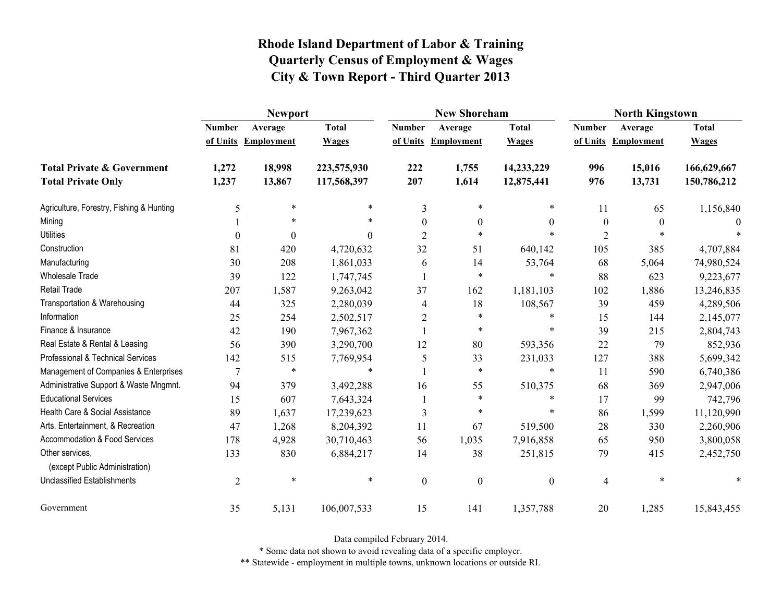|                                                   | <b>Newport</b> |                     |              |                  | <b>New Shoreham</b> |                  | <b>North Kingstown</b> |                   |              |
|---------------------------------------------------|----------------|---------------------|--------------|------------------|---------------------|------------------|------------------------|-------------------|--------------|
|                                                   | <b>Number</b>  | Average             | <b>Total</b> | <b>Number</b>    | Average             | <b>Total</b>     | <b>Number</b>          | Average           | <b>Total</b> |
|                                                   |                | of Units Employment | <b>Wages</b> | of Units         | <b>Employment</b>   | <b>Wages</b>     | of Units               | <b>Employment</b> | <b>Wages</b> |
| <b>Total Private &amp; Government</b>             | 1,272          | 18,998              | 223,575,930  | 222              | 1,755               | 14,233,229       | 996                    | 15,016            | 166,629,667  |
| <b>Total Private Only</b>                         | 1,237          | 13,867              | 117,568,397  | 207              | 1,614               | 12,875,441       | 976                    | 13,731            | 150,786,212  |
| Agriculture, Forestry, Fishing & Hunting          | 5              | $\ast$              | $\ast$       | 3                | $\ast$              | *                | 11                     | 65                | 1,156,840    |
| Mining                                            |                | $\ast$              | $\ast$       | $\theta$         | $\boldsymbol{0}$    | $\theta$         | $\boldsymbol{0}$       | $\theta$          |              |
| <b>Utilities</b>                                  | $\theta$       | $\theta$            | $\theta$     | $\overline{2}$   | $\ast$              | $\ast$           | $\overline{2}$         | $\ast$            |              |
| Construction                                      | 81             | 420                 | 4,720,632    | 32               | 51                  | 640,142          | 105                    | 385               | 4,707,884    |
| Manufacturing                                     | 30             | 208                 | 1,861,033    | 6                | 14                  | 53,764           | 68                     | 5,064             | 74,980,524   |
| Wholesale Trade                                   | 39             | 122                 | 1,747,745    |                  | $\ast$              | $\ast$           | 88                     | 623               | 9,223,677    |
| <b>Retail Trade</b>                               | 207            | 1,587               | 9,263,042    | 37               | 162                 | 1,181,103        | 102                    | 1,886             | 13,246,835   |
| Transportation & Warehousing                      | 44             | 325                 | 2,280,039    | 4                | 18                  | 108,567          | 39                     | 459               | 4,289,506    |
| Information                                       | 25             | 254                 | 2,502,517    | $\overline{2}$   | $\ast$              | $\ast$           | 15                     | 144               | 2,145,077    |
| Finance & Insurance                               | 42             | 190                 | 7,967,362    |                  | $\ast$              | $\ast$           | 39                     | 215               | 2,804,743    |
| Real Estate & Rental & Leasing                    | 56             | 390                 | 3,290,700    | 12               | 80                  | 593,356          | 22                     | 79                | 852,936      |
| Professional & Technical Services                 | 142            | 515                 | 7,769,954    | 5                | 33                  | 231,033          | 127                    | 388               | 5,699,342    |
| Management of Companies & Enterprises             | 7              | $\ast$              | $\ast$       |                  | $\ast$              | $\ast$           | 11                     | 590               | 6,740,386    |
| Administrative Support & Waste Mngmnt.            | 94             | 379                 | 3,492,288    | 16               | 55                  | 510,375          | 68                     | 369               | 2,947,006    |
| <b>Educational Services</b>                       | 15             | 607                 | 7,643,324    |                  | $\ast$              | *                | 17                     | 99                | 742,796      |
| Health Care & Social Assistance                   | 89             | 1,637               | 17,239,623   | 3                | $\ast$              | *                | 86                     | 1,599             | 11,120,990   |
| Arts, Entertainment, & Recreation                 | 47             | 1,268               | 8,204,392    | 11               | 67                  | 519,500          | 28                     | 330               | 2,260,906    |
| Accommodation & Food Services                     | 178            | 4,928               | 30,710,463   | 56               | 1,035               | 7,916,858        | 65                     | 950               | 3,800,058    |
| Other services,<br>(except Public Administration) | 133            | 830                 | 6,884,217    | 14               | 38                  | 251,815          | 79                     | 415               | 2,452,750    |
| <b>Unclassified Establishments</b>                | $\overline{2}$ | $\ast$              | $\ast$       | $\boldsymbol{0}$ | $\boldsymbol{0}$    | $\boldsymbol{0}$ | 4                      | *                 |              |
| Government                                        | 35             | 5,131               | 106,007,533  | 15               | 141                 | 1,357,788        | 20                     | 1,285             | 15,843,455   |

Data compiled February 2014.

\* Some data not shown to avoid revealing data of a specific employer.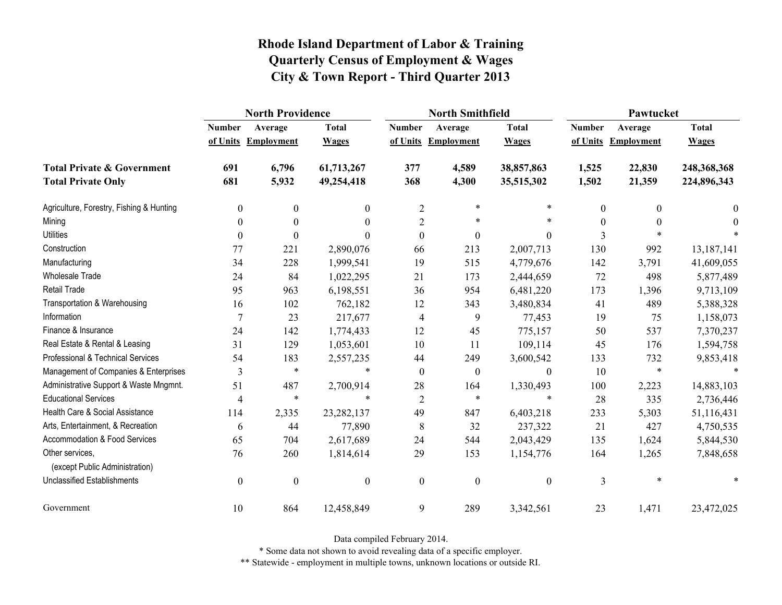|                                                   | <b>North Providence</b> |                     |                  |                  | <b>North Smithfield</b> |                  | Pawtucket        |                     |              |
|---------------------------------------------------|-------------------------|---------------------|------------------|------------------|-------------------------|------------------|------------------|---------------------|--------------|
|                                                   | <b>Number</b>           | Average             | <b>Total</b>     | <b>Number</b>    | Average                 | <b>Total</b>     | <b>Number</b>    | Average             | <b>Total</b> |
|                                                   |                         | of Units Employment | <b>Wages</b>     |                  | of Units Employment     | <b>Wages</b>     |                  | of Units Employment | <b>Wages</b> |
| <b>Total Private &amp; Government</b>             | 691                     | 6,796               | 61,713,267       | 377              | 4,589                   | 38,857,863       | 1,525            | 22,830              | 248,368,368  |
| <b>Total Private Only</b>                         | 681                     | 5,932               | 49,254,418       | 368              | 4,300                   | 35,515,302       | 1,502            | 21,359              | 224,896,343  |
| Agriculture, Forestry, Fishing & Hunting          | $\boldsymbol{0}$        | $\boldsymbol{0}$    | $\mathbf{0}$     | $\overline{2}$   | $\ast$                  | *                | $\boldsymbol{0}$ | $\Omega$            | 0            |
| Mining                                            | $\theta$                | $\boldsymbol{0}$    | $\theta$         | $\overline{c}$   | $\ast$                  | $\ast$           | $\boldsymbol{0}$ |                     | $\theta$     |
| <b>Utilities</b>                                  | $\theta$                | $\mathbf{0}$        | 0                | $\theta$         | $\boldsymbol{0}$        | $\theta$         | 3                |                     |              |
| Construction                                      | 77                      | 221                 | 2,890,076        | 66               | 213                     | 2,007,713        | 130              | 992                 | 13,187,141   |
| Manufacturing                                     | 34                      | 228                 | 1,999,541        | 19               | 515                     | 4,779,676        | 142              | 3,791               | 41,609,055   |
| <b>Wholesale Trade</b>                            | 24                      | 84                  | 1,022,295        | 21               | 173                     | 2,444,659        | 72               | 498                 | 5,877,489    |
| <b>Retail Trade</b>                               | 95                      | 963                 | 6,198,551        | 36               | 954                     | 6,481,220        | 173              | 1,396               | 9,713,109    |
| Transportation & Warehousing                      | 16                      | 102                 | 762,182          | 12               | 343                     | 3,480,834        | 41               | 489                 | 5,388,328    |
| Information                                       | 7                       | 23                  | 217,677          | 4                | 9                       | 77,453           | 19               | 75                  | 1,158,073    |
| Finance & Insurance                               | 24                      | 142                 | 1,774,433        | 12               | 45                      | 775,157          | 50               | 537                 | 7,370,237    |
| Real Estate & Rental & Leasing                    | 31                      | 129                 | 1,053,601        | 10               | 11                      | 109,114          | 45               | 176                 | 1,594,758    |
| Professional & Technical Services                 | 54                      | 183                 | 2,557,235        | 44               | 249                     | 3,600,542        | 133              | 732                 | 9,853,418    |
| Management of Companies & Enterprises             | 3                       | $\ast$              | $\ast$           | $\boldsymbol{0}$ | $\boldsymbol{0}$        | $\boldsymbol{0}$ | 10               | $\ast$              | $\ast$       |
| Administrative Support & Waste Mngmnt.            | 51                      | 487                 | 2,700,914        | 28               | 164                     | 1,330,493        | 100              | 2,223               | 14,883,103   |
| <b>Educational Services</b>                       | 4                       | $\ast$              | $\ast$           | $\overline{2}$   | $\ast$                  | $\ast$           | 28               | 335                 | 2,736,446    |
| Health Care & Social Assistance                   | 114                     | 2,335               | 23, 282, 137     | 49               | 847                     | 6,403,218        | 233              | 5,303               | 51,116,431   |
| Arts, Entertainment, & Recreation                 | 6                       | 44                  | 77,890           | 8                | 32                      | 237,322          | 21               | 427                 | 4,750,535    |
| <b>Accommodation &amp; Food Services</b>          | 65                      | 704                 | 2,617,689        | 24               | 544                     | 2,043,429        | 135              | 1,624               | 5,844,530    |
| Other services,<br>(except Public Administration) | 76                      | 260                 | 1,814,614        | 29               | 153                     | 1,154,776        | 164              | 1,265               | 7,848,658    |
| <b>Unclassified Establishments</b>                | $\boldsymbol{0}$        | $\boldsymbol{0}$    | $\boldsymbol{0}$ | $\boldsymbol{0}$ | $\boldsymbol{0}$        | $\boldsymbol{0}$ | 3                | $\ast$              |              |
| Government                                        | 10                      | 864                 | 12,458,849       | 9                | 289                     | 3,342,561        | 23               | 1,471               | 23,472,025   |

Data compiled February 2014.

\* Some data not shown to avoid revealing data of a specific employer.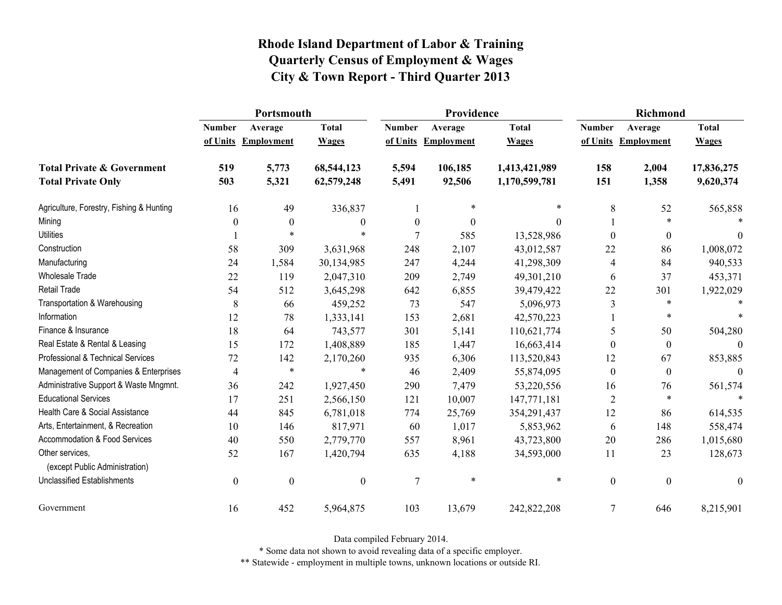|                                                   | Portsmouth    |                     |                  |                  | Providence          |               | <b>Richmond</b>  |                     |                  |
|---------------------------------------------------|---------------|---------------------|------------------|------------------|---------------------|---------------|------------------|---------------------|------------------|
|                                                   | <b>Number</b> | Average             | <b>Total</b>     | <b>Number</b>    | Average             | <b>Total</b>  | <b>Number</b>    | Average             | <b>Total</b>     |
|                                                   |               | of Units Employment | <b>Wages</b>     |                  | of Units Employment | <b>Wages</b>  |                  | of Units Employment | <b>Wages</b>     |
| <b>Total Private &amp; Government</b>             | 519           | 5,773               | 68,544,123       | 5,594            | 106,185             | 1,413,421,989 | 158              | 2,004               | 17,836,275       |
| <b>Total Private Only</b>                         | 503           | 5,321               | 62,579,248       | 5,491            | 92,506              | 1,170,599,781 | 151              | 1,358               | 9,620,374        |
| Agriculture, Forestry, Fishing & Hunting          | 16            | 49                  | 336,837          |                  | $\ast$              | $\ast$        | 8                | 52                  | 565,858          |
| Mining                                            | 0             | $\mathbf{0}$        | $\boldsymbol{0}$ | $\boldsymbol{0}$ | $\boldsymbol{0}$    | $\Omega$      |                  | $\ast$              |                  |
| <b>Utilities</b>                                  |               | $\ast$              | $\ast$           | 7                | 585                 | 13,528,986    | $\theta$         | $\boldsymbol{0}$    | $\theta$         |
| Construction                                      | 58            | 309                 | 3,631,968        | 248              | 2,107               | 43,012,587    | 22               | 86                  | 1,008,072        |
| Manufacturing                                     | 24            | 1,584               | 30,134,985       | 247              | 4,244               | 41,298,309    | 4                | 84                  | 940,533          |
| Wholesale Trade                                   | 22            | 119                 | 2,047,310        | 209              | 2,749               | 49,301,210    | 6                | 37                  | 453,371          |
| <b>Retail Trade</b>                               | 54            | 512                 | 3,645,298        | 642              | 6,855               | 39,479,422    | 22               | 301                 | 1,922,029        |
| Transportation & Warehousing                      | $\,$ 8 $\,$   | 66                  | 459,252          | 73               | 547                 | 5,096,973     | $\mathfrak{Z}$   | $\ast$              |                  |
| Information                                       | 12            | 78                  | 1,333,141        | 153              | 2,681               | 42,570,223    |                  | *                   |                  |
| Finance & Insurance                               | 18            | 64                  | 743,577          | 301              | 5,141               | 110,621,774   | 5                | 50                  | 504,280          |
| Real Estate & Rental & Leasing                    | 15            | 172                 | 1,408,889        | 185              | 1,447               | 16,663,414    | $\Omega$         | $\boldsymbol{0}$    | $\Omega$         |
| Professional & Technical Services                 | 72            | 142                 | 2,170,260        | 935              | 6,306               | 113,520,843   | 12               | 67                  | 853,885          |
| Management of Companies & Enterprises             | 4             | $\ast$              | $\ast$           | 46               | 2,409               | 55,874,095    | $\mathbf{0}$     | $\boldsymbol{0}$    | $\theta$         |
| Administrative Support & Waste Mngmnt.            | 36            | 242                 | 1,927,450        | 290              | 7,479               | 53,220,556    | 16               | 76                  | 561,574          |
| <b>Educational Services</b>                       | 17            | 251                 | 2,566,150        | 121              | 10,007              | 147,771,181   | 2                | $\ast$              | $\ast$           |
| Health Care & Social Assistance                   | 44            | 845                 | 6,781,018        | 774              | 25,769              | 354,291,437   | 12               | 86                  | 614,535          |
| Arts, Entertainment, & Recreation                 | 10            | 146                 | 817,971          | 60               | 1,017               | 5,853,962     | 6                | 148                 | 558,474          |
| <b>Accommodation &amp; Food Services</b>          | 40            | 550                 | 2,779,770        | 557              | 8,961               | 43,723,800    | 20               | 286                 | 1,015,680        |
| Other services,<br>(except Public Administration) | 52            | 167                 | 1,420,794        | 635              | 4,188               | 34,593,000    | 11               | 23                  | 128,673          |
| <b>Unclassified Establishments</b>                | $\mathbf{0}$  | $\boldsymbol{0}$    | $\boldsymbol{0}$ | 7                | $\ast$              | $\ast$        | $\boldsymbol{0}$ | $\mathbf{0}$        | $\boldsymbol{0}$ |
| Government                                        | 16            | 452                 | 5,964,875        | 103              | 13,679              | 242,822,208   | $\overline{7}$   | 646                 | 8,215,901        |

Data compiled February 2014.

\* Some data not shown to avoid revealing data of a specific employer.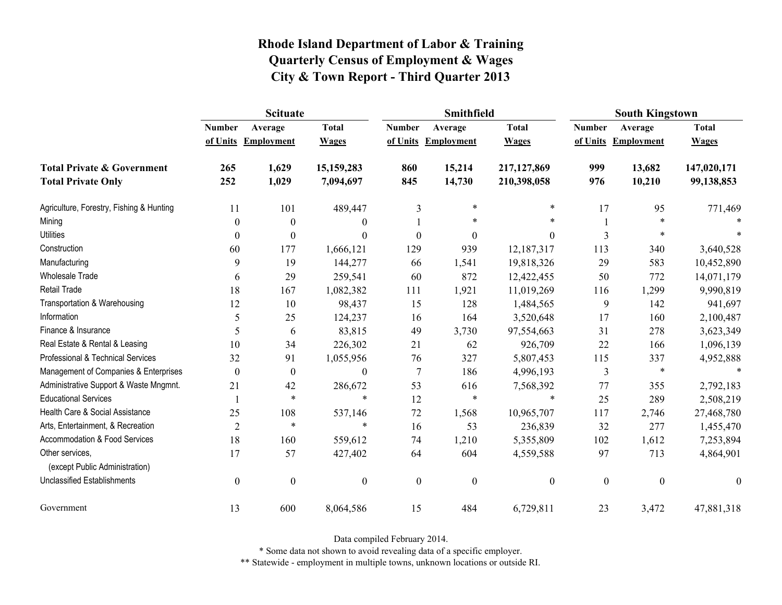|                                                   | <b>Scituate</b>  |                     |                  |                  | Smithfield        |                  | <b>South Kingstown</b> |                     |                  |
|---------------------------------------------------|------------------|---------------------|------------------|------------------|-------------------|------------------|------------------------|---------------------|------------------|
|                                                   | <b>Number</b>    | Average             | <b>Total</b>     | <b>Number</b>    | Average           | <b>Total</b>     | <b>Number</b>          | Average             | <b>Total</b>     |
|                                                   |                  | of Units Employment | <b>Wages</b>     | of Units         | <b>Employment</b> | <b>Wages</b>     |                        | of Units Employment | <b>Wages</b>     |
| <b>Total Private &amp; Government</b>             | 265              | 1,629               | 15,159,283       | 860              | 15,214            | 217,127,869      | 999                    | 13,682              | 147,020,171      |
| <b>Total Private Only</b>                         | 252              | 1,029               | 7,094,697        | 845              | 14,730            | 210,398,058      | 976                    | 10,210              | 99,138,853       |
| Agriculture, Forestry, Fishing & Hunting          | 11               | 101                 | 489,447          | 3                | $\ast$            | $\ast$           | 17                     | 95                  | 771,469          |
| Mining                                            | 0                | $\boldsymbol{0}$    | $\overline{0}$   |                  | *                 | $\ast$           |                        | $\ast$              |                  |
| <b>Utilities</b>                                  | 0                | $\boldsymbol{0}$    | $\boldsymbol{0}$ | $\theta$         | $\theta$          | $\boldsymbol{0}$ | 3                      | $\ast$              |                  |
| Construction                                      | 60               | 177                 | 1,666,121        | 129              | 939               | 12,187,317       | 113                    | 340                 | 3,640,528        |
| Manufacturing                                     | 9                | 19                  | 144,277          | 66               | 1,541             | 19,818,326       | 29                     | 583                 | 10,452,890       |
| Wholesale Trade                                   | 6                | 29                  | 259,541          | 60               | 872               | 12,422,455       | 50                     | 772                 | 14,071,179       |
| <b>Retail Trade</b>                               | 18               | 167                 | 1,082,382        | 111              | 1,921             | 11,019,269       | 116                    | 1,299               | 9,990,819        |
| Transportation & Warehousing                      | 12               | 10                  | 98,437           | 15               | 128               | 1,484,565        | 9                      | 142                 | 941,697          |
| Information                                       | 5                | 25                  | 124,237          | 16               | 164               | 3,520,648        | 17                     | 160                 | 2,100,487        |
| Finance & Insurance                               | 5                | 6                   | 83,815           | 49               | 3,730             | 97,554,663       | 31                     | 278                 | 3,623,349        |
| Real Estate & Rental & Leasing                    | 10               | 34                  | 226,302          | 21               | 62                | 926,709          | 22                     | 166                 | 1,096,139        |
| Professional & Technical Services                 | 32               | 91                  | 1,055,956        | 76               | 327               | 5,807,453        | 115                    | 337                 | 4,952,888        |
| Management of Companies & Enterprises             | 0                | $\boldsymbol{0}$    | $\boldsymbol{0}$ | 7                | 186               | 4,996,193        | 3                      | $\ast$              | $\ast$           |
| Administrative Support & Waste Mngmnt.            | 21               | 42                  | 286,672          | 53               | 616               | 7,568,392        | 77                     | 355                 | 2,792,183        |
| <b>Educational Services</b>                       |                  | $\ast$              | $\ast$           | 12               | $\ast$            | $\ast$           | 25                     | 289                 | 2,508,219        |
| Health Care & Social Assistance                   | 25               | 108                 | 537,146          | 72               | 1,568             | 10,965,707       | 117                    | 2,746               | 27,468,780       |
| Arts, Entertainment, & Recreation                 | $\overline{2}$   | $\ast$              | $\ast$           | 16               | 53                | 236,839          | 32                     | 277                 | 1,455,470        |
| Accommodation & Food Services                     | 18               | 160                 | 559,612          | 74               | 1,210             | 5,355,809        | 102                    | 1,612               | 7,253,894        |
| Other services,<br>(except Public Administration) | 17               | 57                  | 427,402          | 64               | 604               | 4,559,588        | 97                     | 713                 | 4,864,901        |
| <b>Unclassified Establishments</b>                | $\boldsymbol{0}$ | $\boldsymbol{0}$    | $\boldsymbol{0}$ | $\boldsymbol{0}$ | $\boldsymbol{0}$  | $\boldsymbol{0}$ | $\boldsymbol{0}$       | $\boldsymbol{0}$    | $\boldsymbol{0}$ |
| Government                                        | 13               | 600                 | 8,064,586        | 15               | 484               | 6,729,811        | 23                     | 3,472               | 47,881,318       |

Data compiled February 2014.

\* Some data not shown to avoid revealing data of a specific employer.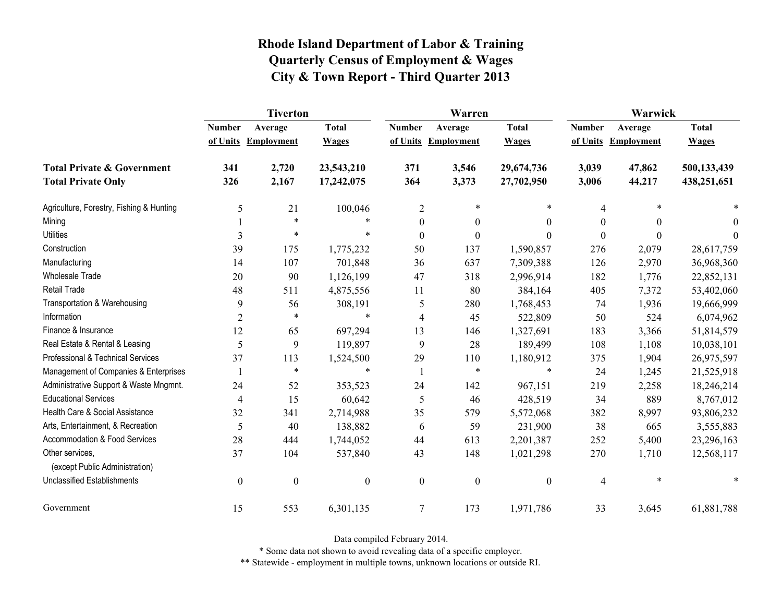|                                                   | <b>Tiverton</b>  |                     |                  |                  | Warren              |                  | Warwick       |                   |              |
|---------------------------------------------------|------------------|---------------------|------------------|------------------|---------------------|------------------|---------------|-------------------|--------------|
|                                                   | <b>Number</b>    | Average             | <b>Total</b>     | <b>Number</b>    | Average             | <b>Total</b>     | <b>Number</b> | Average           | <b>Total</b> |
|                                                   |                  | of Units Employment | <b>Wages</b>     |                  | of Units Employment | <b>Wages</b>     | of Units      | <b>Employment</b> | <b>Wages</b> |
| <b>Total Private &amp; Government</b>             | 341              | 2,720               | 23,543,210       | 371              | 3,546               | 29,674,736       | 3,039         | 47,862            | 500,133,439  |
| <b>Total Private Only</b>                         | 326              | 2,167               | 17,242,075       | 364              | 3,373               | 27,702,950       | 3,006         | 44,217            | 438,251,651  |
| Agriculture, Forestry, Fishing & Hunting          | 5                | 21                  | 100,046          | $\overline{2}$   | $\ast$              | $\ast$           | 4             |                   |              |
| Mining                                            |                  | $\ast$              |                  | $\boldsymbol{0}$ | $\boldsymbol{0}$    | $\boldsymbol{0}$ | $\theta$      | $\theta$          | $\theta$     |
| <b>Utilities</b>                                  | 3                | $\ast$              | $\ast$           | $\theta$         | $\mathbf{0}$        | $\theta$         | $\Omega$      | $\theta$          | $\theta$     |
| Construction                                      | 39               | 175                 | 1,775,232        | 50               | 137                 | 1,590,857        | 276           | 2,079             | 28,617,759   |
| Manufacturing                                     | 14               | 107                 | 701,848          | 36               | 637                 | 7,309,388        | 126           | 2,970             | 36,968,360   |
| <b>Wholesale Trade</b>                            | 20               | 90                  | 1,126,199        | 47               | 318                 | 2,996,914        | 182           | 1,776             | 22,852,131   |
| <b>Retail Trade</b>                               | 48               | 511                 | 4,875,556        | 11               | 80                  | 384,164          | 405           | 7,372             | 53,402,060   |
| Transportation & Warehousing                      | 9                | 56                  | 308,191          | 5                | 280                 | 1,768,453        | 74            | 1,936             | 19,666,999   |
| Information                                       | $\overline{2}$   | $\ast$              | $\ast$           | 4                | 45                  | 522,809          | 50            | 524               | 6,074,962    |
| Finance & Insurance                               | 12               | 65                  | 697,294          | 13               | 146                 | 1,327,691        | 183           | 3,366             | 51,814,579   |
| Real Estate & Rental & Leasing                    | 5                | 9                   | 119,897          | 9                | 28                  | 189,499          | 108           | 1,108             | 10,038,101   |
| Professional & Technical Services                 | 37               | 113                 | 1,524,500        | 29               | 110                 | 1,180,912        | 375           | 1,904             | 26,975,597   |
| Management of Companies & Enterprises             |                  | $\ast$              | *                |                  | $\ast$              | $\ast$           | 24            | 1,245             | 21,525,918   |
| Administrative Support & Waste Mngmnt.            | 24               | 52                  | 353,523          | 24               | 142                 | 967,151          | 219           | 2,258             | 18,246,214   |
| <b>Educational Services</b>                       | $\overline{4}$   | 15                  | 60,642           | 5                | 46                  | 428,519          | 34            | 889               | 8,767,012    |
| Health Care & Social Assistance                   | 32               | 341                 | 2,714,988        | 35               | 579                 | 5,572,068        | 382           | 8,997             | 93,806,232   |
| Arts, Entertainment, & Recreation                 | 5                | 40                  | 138,882          | 6                | 59                  | 231,900          | 38            | 665               | 3,555,883    |
| Accommodation & Food Services                     | 28               | 444                 | 1,744,052        | 44               | 613                 | 2,201,387        | 252           | 5,400             | 23,296,163   |
| Other services,<br>(except Public Administration) | 37               | 104                 | 537,840          | 43               | 148                 | 1,021,298        | 270           | 1,710             | 12,568,117   |
| <b>Unclassified Establishments</b>                | $\boldsymbol{0}$ | $\boldsymbol{0}$    | $\boldsymbol{0}$ | $\boldsymbol{0}$ | $\boldsymbol{0}$    | $\boldsymbol{0}$ | 4             | $\ast$            | $\ast$       |
| Government                                        | 15               | 553                 | 6,301,135        | $\tau$           | 173                 | 1,971,786        | 33            | 3,645             | 61,881,788   |

Data compiled February 2014.

\* Some data not shown to avoid revealing data of a specific employer.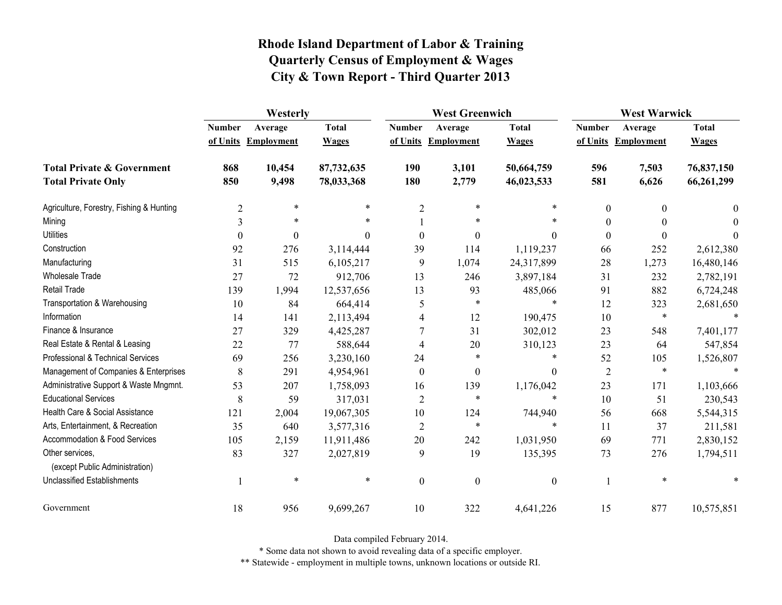|                                                   | Westerly       |                     |              |                  | <b>West Greenwich</b> |                  |                  | <b>West Warwick</b> |              |  |
|---------------------------------------------------|----------------|---------------------|--------------|------------------|-----------------------|------------------|------------------|---------------------|--------------|--|
|                                                   | <b>Number</b>  | Average             | <b>Total</b> | <b>Number</b>    | Average               | <b>Total</b>     | <b>Number</b>    | Average             | <b>Total</b> |  |
|                                                   |                | of Units Employment | <b>Wages</b> |                  | of Units Employment   | <b>Wages</b>     |                  | of Units Employment | <b>Wages</b> |  |
| <b>Total Private &amp; Government</b>             | 868            | 10,454              | 87,732,635   | 190              | 3,101                 | 50,664,759       | 596              | 7,503               | 76,837,150   |  |
| <b>Total Private Only</b>                         | 850            | 9,498               | 78,033,368   | 180              | 2,779                 | 46,023,533       | 581              | 6,626               | 66,261,299   |  |
| Agriculture, Forestry, Fishing & Hunting          | $\overline{2}$ | $\ast$              | $\ast$       | $\overline{2}$   | $\ast$                | $\ast$           | $\boldsymbol{0}$ | $\theta$            | 0            |  |
| Mining                                            | 3              | $\ast$              | *            |                  | $\ast$                |                  | $\theta$         | 0                   | 0            |  |
| <b>Utilities</b>                                  | $\theta$       | $\boldsymbol{0}$    | $\theta$     | $\boldsymbol{0}$ | $\boldsymbol{0}$      | $\theta$         | $\mathbf{0}$     | 0                   | 0            |  |
| Construction                                      | 92             | 276                 | 3,114,444    | 39               | 114                   | 1,119,237        | 66               | 252                 | 2,612,380    |  |
| Manufacturing                                     | 31             | 515                 | 6,105,217    | 9                | 1,074                 | 24,317,899       | 28               | 1,273               | 16,480,146   |  |
| <b>Wholesale Trade</b>                            | 27             | 72                  | 912,706      | 13               | 246                   | 3,897,184        | 31               | 232                 | 2,782,191    |  |
| <b>Retail Trade</b>                               | 139            | 1,994               | 12,537,656   | 13               | 93                    | 485,066          | 91               | 882                 | 6,724,248    |  |
| Transportation & Warehousing                      | 10             | 84                  | 664,414      | 5                | $\ast$                | $\ast$           | 12               | 323                 | 2,681,650    |  |
| Information                                       | 14             | 141                 | 2,113,494    | 4                | 12                    | 190,475          | 10               | $\ast$              | $\star$      |  |
| Finance & Insurance                               | 27             | 329                 | 4,425,287    | 7                | 31                    | 302,012          | 23               | 548                 | 7,401,177    |  |
| Real Estate & Rental & Leasing                    | 22             | 77                  | 588,644      | 4                | 20                    | 310,123          | 23               | 64                  | 547,854      |  |
| Professional & Technical Services                 | 69             | 256                 | 3,230,160    | 24               | $\ast$                | $\ast$           | 52               | 105                 | 1,526,807    |  |
| Management of Companies & Enterprises             | 8              | 291                 | 4,954,961    | $\boldsymbol{0}$ | $\boldsymbol{0}$      | $\theta$         | $\overline{2}$   | $\ast$              | $\ast$       |  |
| Administrative Support & Waste Mngmnt.            | 53             | 207                 | 1,758,093    | 16               | 139                   | 1,176,042        | 23               | 171                 | 1,103,666    |  |
| <b>Educational Services</b>                       | 8              | 59                  | 317,031      | $\overline{2}$   | $\ast$                | $\ast$           | 10               | 51                  | 230,543      |  |
| Health Care & Social Assistance                   | 121            | 2,004               | 19,067,305   | 10               | 124                   | 744,940          | 56               | 668                 | 5,544,315    |  |
| Arts, Entertainment, & Recreation                 | 35             | 640                 | 3,577,316    | $\overline{2}$   | $\ast$                | $\ast$           | 11               | 37                  | 211,581      |  |
| Accommodation & Food Services                     | 105            | 2,159               | 11,911,486   | 20               | 242                   | 1,031,950        | 69               | 771                 | 2,830,152    |  |
| Other services,<br>(except Public Administration) | 83             | 327                 | 2,027,819    | 9                | 19                    | 135,395          | 73               | 276                 | 1,794,511    |  |
| <b>Unclassified Establishments</b>                |                | $\ast$              | $\ast$       | $\boldsymbol{0}$ | $\boldsymbol{0}$      | $\boldsymbol{0}$ | 1                | $\ast$              |              |  |
| Government                                        | 18             | 956                 | 9,699,267    | 10               | 322                   | 4,641,226        | 15               | 877                 | 10,575,851   |  |

Data compiled February 2014.

\* Some data not shown to avoid revealing data of a specific employer.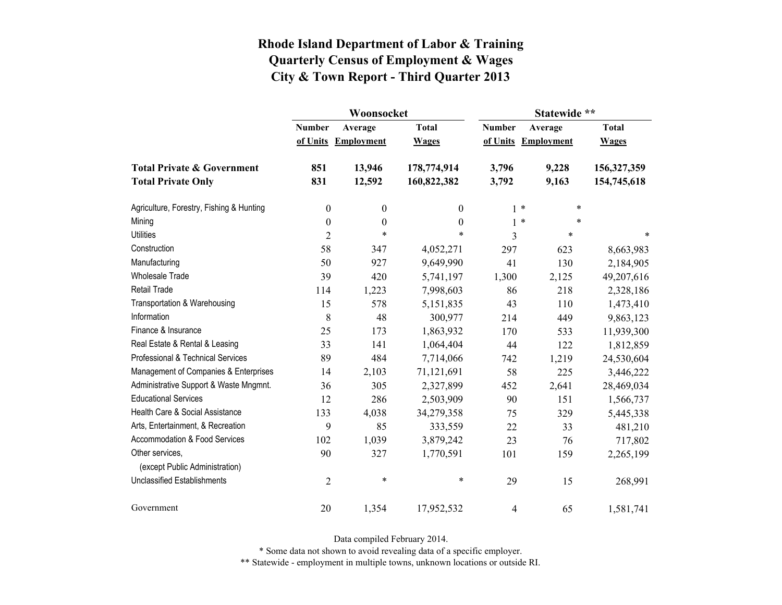|                                          |                  | Woonsocket        |                  | Statewide **  |                   |              |  |
|------------------------------------------|------------------|-------------------|------------------|---------------|-------------------|--------------|--|
|                                          | <b>Number</b>    | Average           | <b>Total</b>     | <b>Number</b> | Average           | <b>Total</b> |  |
|                                          | of Units         | <b>Employment</b> | <b>Wages</b>     | of Units      | <b>Employment</b> | <b>Wages</b> |  |
| <b>Total Private &amp; Government</b>    | 851              | 13,946            | 178,774,914      | 3,796         | 9,228             | 156,327,359  |  |
| <b>Total Private Only</b>                | 831              | 12,592            | 160,822,382      | 3,792         | 9,163             | 154,745,618  |  |
| Agriculture, Forestry, Fishing & Hunting | $\boldsymbol{0}$ | $\boldsymbol{0}$  | $\boldsymbol{0}$ |               | $1 *$<br>*        |              |  |
| Mining                                   | $\boldsymbol{0}$ | $\boldsymbol{0}$  | $\boldsymbol{0}$ |               | $1 *$<br>$\ast$   |              |  |
| <b>Utilities</b>                         | $\overline{2}$   | $\ast$            | $\ast$           | 3             | $\ast$            | $\ast$       |  |
| Construction                             | 58               | 347               | 4,052,271        | 297           | 623               | 8,663,983    |  |
| Manufacturing                            | 50               | 927               | 9,649,990        | 41            | 130               | 2,184,905    |  |
| <b>Wholesale Trade</b>                   | 39               | 420               | 5,741,197        | 1,300         | 2,125             | 49,207,616   |  |
| <b>Retail Trade</b>                      | 114              | 1,223             | 7,998,603        | 86            | 218               | 2,328,186    |  |
| Transportation & Warehousing             | 15               | 578               | 5,151,835        | 43            | 110               | 1,473,410    |  |
| Information                              | 8                | 48                | 300,977          | 214           | 449               | 9,863,123    |  |
| Finance & Insurance                      | 25               | 173               | 1,863,932        | 170           | 533               | 11,939,300   |  |
| Real Estate & Rental & Leasing           | 33               | 141               | 1,064,404        | 44            | 122               | 1,812,859    |  |
| Professional & Technical Services        | 89               | 484               | 7,714,066        | 742           | 1,219             | 24,530,604   |  |
| Management of Companies & Enterprises    | 14               | 2,103             | 71,121,691       | 58            | 225               | 3,446,222    |  |
| Administrative Support & Waste Mngmnt.   | 36               | 305               | 2,327,899        | 452           | 2,641             | 28,469,034   |  |
| <b>Educational Services</b>              | 12               | 286               | 2,503,909        | 90            | 151               | 1,566,737    |  |
| Health Care & Social Assistance          | 133              | 4,038             | 34,279,358       | 75            | 329               | 5,445,338    |  |
| Arts, Entertainment, & Recreation        | 9                | 85                | 333,559          | 22            | 33                | 481,210      |  |
| Accommodation & Food Services            | 102              | 1,039             | 3,879,242        | 23            | 76                | 717,802      |  |
| Other services,                          | 90               | 327               | 1,770,591        | 101           | 159               | 2,265,199    |  |
| (except Public Administration)           |                  |                   |                  |               |                   |              |  |
| <b>Unclassified Establishments</b>       | $\sqrt{2}$       | $\ast$            | $\ast$           | 29            | 15                | 268,991      |  |
| Government                               | 20               | 1,354             | 17,952,532       | 4             | 65                | 1,581,741    |  |

Data compiled February 2014.

\* Some data not shown to avoid revealing data of a specific employer.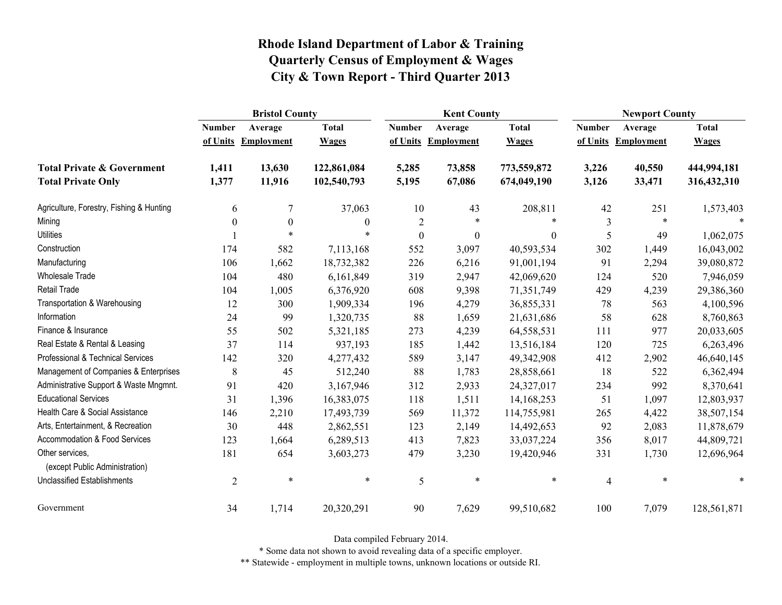|                                                   | <b>Bristol County</b> |                   |              |                  | <b>Kent County</b> |                  |                | <b>Newport County</b> |              |  |
|---------------------------------------------------|-----------------------|-------------------|--------------|------------------|--------------------|------------------|----------------|-----------------------|--------------|--|
|                                                   | <b>Number</b>         | Average           | <b>Total</b> | <b>Number</b>    | Average            | <b>Total</b>     | <b>Number</b>  | Average               | <b>Total</b> |  |
|                                                   | of Units              | <b>Employment</b> | <b>Wages</b> | of Units         | <b>Employment</b>  | <b>Wages</b>     | of Units       | <b>Employment</b>     | <b>Wages</b> |  |
| <b>Total Private &amp; Government</b>             | 1,411                 | 13,630            | 122,861,084  | 5,285            | 73,858             | 773,559,872      | 3,226          | 40,550                | 444,994,181  |  |
| <b>Total Private Only</b>                         | 1,377                 | 11,916            | 102,540,793  | 5,195            | 67,086             | 674,049,190      | 3,126          | 33,471                | 316,432,310  |  |
| Agriculture, Forestry, Fishing & Hunting          | 6                     | 7                 | 37,063       | 10               | 43                 | 208,811          | 42             | 251                   | 1,573,403    |  |
| Mining                                            | $\mathbf{0}$          | $\boldsymbol{0}$  | $\theta$     | $\overline{2}$   | $\ast$             | $\ast$           | 3              | $\ast$                | $\ast$       |  |
| <b>Utilities</b>                                  |                       | $\ast$            | *            | $\boldsymbol{0}$ | $\boldsymbol{0}$   | $\boldsymbol{0}$ | 5              | 49                    | 1,062,075    |  |
| Construction                                      | 174                   | 582               | 7,113,168    | 552              | 3,097              | 40,593,534       | 302            | 1,449                 | 16,043,002   |  |
| Manufacturing                                     | 106                   | 1,662             | 18,732,382   | 226              | 6,216              | 91,001,194       | 91             | 2,294                 | 39,080,872   |  |
| Wholesale Trade                                   | 104                   | 480               | 6,161,849    | 319              | 2,947              | 42,069,620       | 124            | 520                   | 7,946,059    |  |
| <b>Retail Trade</b>                               | 104                   | 1,005             | 6,376,920    | 608              | 9,398              | 71,351,749       | 429            | 4,239                 | 29,386,360   |  |
| Transportation & Warehousing                      | 12                    | 300               | 1,909,334    | 196              | 4,279              | 36,855,331       | 78             | 563                   | 4,100,596    |  |
| Information                                       | 24                    | 99                | 1,320,735    | 88               | 1,659              | 21,631,686       | 58             | 628                   | 8,760,863    |  |
| Finance & Insurance                               | 55                    | 502               | 5,321,185    | 273              | 4,239              | 64,558,531       | 111            | 977                   | 20,033,605   |  |
| Real Estate & Rental & Leasing                    | 37                    | 114               | 937,193      | 185              | 1,442              | 13,516,184       | 120            | 725                   | 6,263,496    |  |
| Professional & Technical Services                 | 142                   | 320               | 4,277,432    | 589              | 3,147              | 49,342,908       | 412            | 2,902                 | 46,640,145   |  |
| Management of Companies & Enterprises             | 8                     | 45                | 512,240      | 88               | 1,783              | 28,858,661       | 18             | 522                   | 6,362,494    |  |
| Administrative Support & Waste Mngmnt.            | 91                    | 420               | 3,167,946    | 312              | 2,933              | 24,327,017       | 234            | 992                   | 8,370,641    |  |
| <b>Educational Services</b>                       | 31                    | 1,396             | 16,383,075   | 118              | 1,511              | 14,168,253       | 51             | 1,097                 | 12,803,937   |  |
| Health Care & Social Assistance                   | 146                   | 2,210             | 17,493,739   | 569              | 11,372             | 114,755,981      | 265            | 4,422                 | 38,507,154   |  |
| Arts, Entertainment, & Recreation                 | 30                    | 448               | 2,862,551    | 123              | 2,149              | 14,492,653       | 92             | 2,083                 | 11,878,679   |  |
| Accommodation & Food Services                     | 123                   | 1,664             | 6,289,513    | 413              | 7,823              | 33,037,224       | 356            | 8,017                 | 44,809,721   |  |
| Other services,<br>(except Public Administration) | 181                   | 654               | 3,603,273    | 479              | 3,230              | 19,420,946       | 331            | 1,730                 | 12,696,964   |  |
| <b>Unclassified Establishments</b>                | $\overline{2}$        | $\ast$            | $\ast$       | 5                | $\ast$             | $\ast$           | $\overline{4}$ | $\ast$                | $\ast$       |  |
| Government                                        | 34                    | 1,714             | 20,320,291   | 90               | 7,629              | 99,510,682       | 100            | 7,079                 | 128,561,871  |  |

Data compiled February 2014.

\* Some data not shown to avoid revealing data of a specific employer.